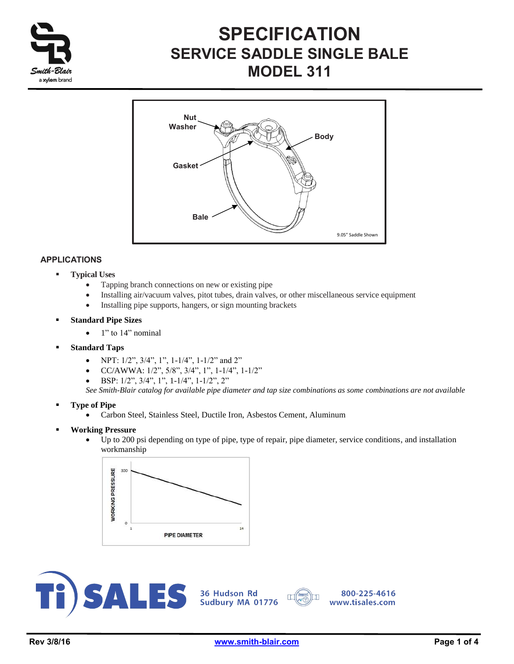

# **SPECIFICATION SERVICE SADDLE SINGLE BALE MODEL 311**



## **APPLICATIONS**

- **Typical Uses**
	- Tapping branch connections on new or existing pipe
	- Installing air/vacuum valves, pitot tubes, drain valves, or other miscellaneous service equipment
	- Installing pipe supports, hangers, or sign mounting brackets
- **Standard Pipe Sizes**
	- $\bullet$  1" to 14" nominal
- **Standard Taps**
	- NPT:  $1/2$ ",  $3/4$ ",  $1$ ",  $1-1/4$ ",  $1-1/2$ " and  $2$ "
	- $\bullet$  CC/AWWA: 1/2", 5/8", 3/4", 1", 1-1/4", 1-1/2"
	- BSP: 1/2", 3/4", 1", 1-1/4", 1-1/2", 2"

*See Smith-Blair catalog for available pipe diameter and tap size combinations as some combinations are not available* 

- **Type of Pipe**
	- Carbon Steel, Stainless Steel, Ductile Iron, Asbestos Cement, Aluminum
- **Working Pressure**
	- Up to 200 psi depending on type of pipe, type of repair, pipe diameter, service conditions, and installation workmanship







 $\mathbb{T}$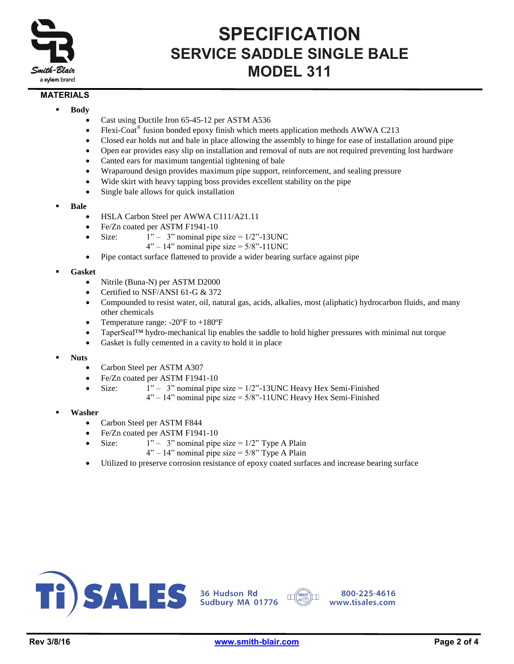

## **SPECIFICATION SERVICE SADDLE SINGLE BALE MODEL 311**

### **MATERIALS**

- **Body**
	- Cast using Ductile Iron 65-45-12 per ASTM A536
	- Flexi-Coat<sup>®</sup> fusion bonded epoxy finish which meets application methods AWWA C213
	- Closed ear holds nut and bale in place allowing the assembly to hinge for ease of installation around pipe
	- Open ear provides easy slip on installation and removal of nuts are not required preventing lost hardware
	- Canted ears for maximum tangential tightening of bale
	- Wraparound design provides maximum pipe support, reinforcement, and sealing pressure
	- Wide skirt with heavy tapping boss provides excellent stability on the pipe
	- Single bale allows for quick installation
- **Bale**
	- HSLA Carbon Steel per AWWA C111/A21.11
	- Fe/Zn coated per ASTM F1941-10
	- Size:  $1" 3"$  nominal pipe size =  $1/2"$ -13UNC
		- $4" 14"$  nominal pipe size =  $5/8" 11$  UNC
	- Pipe contact surface flattened to provide a wider bearing surface against pipe

#### **Gasket**

- Nitrile (Buna-N) per ASTM D2000
- Certified to NSF/ANSI 61-G & 372
- Compounded to resist water, oil, natural gas, acids, alkalies, most (aliphatic) hydrocarbon fluids, and many other chemicals
- Temperature range: -20ºF to +180ºF
- TaperSeal™ hydro-mechanical lip enables the saddle to hold higher pressures with minimal nut torque
- Gasket is fully cemented in a cavity to hold it in place
- **Nuts**
	- Carbon Steel per ASTM A307
	- Fe/Zn coated per ASTM F1941-10
	- - Size:  $1" 3"$  nominal pipe size =  $1/2"$ -13UNC Heavy Hex Semi-Finished
			- $4" 14"$  nominal pipe size =  $5/8" 11$  UNC Heavy Hex Semi-Finished
- **Washer**
	- Carbon Steel per ASTM F844
	- Fe/Zn coated per ASTM F1941-10
	- Size:  $1" 3"$  nominal pipe size =  $1/2"$  Type A Plain
		- $4" 14"$  nominal pipe size =  $5/8"$  Type A Plain
	- Utilized to preserve corrosion resistance of epoxy coated surfaces and increase bearing surface





800-225-4616 www.tisales.com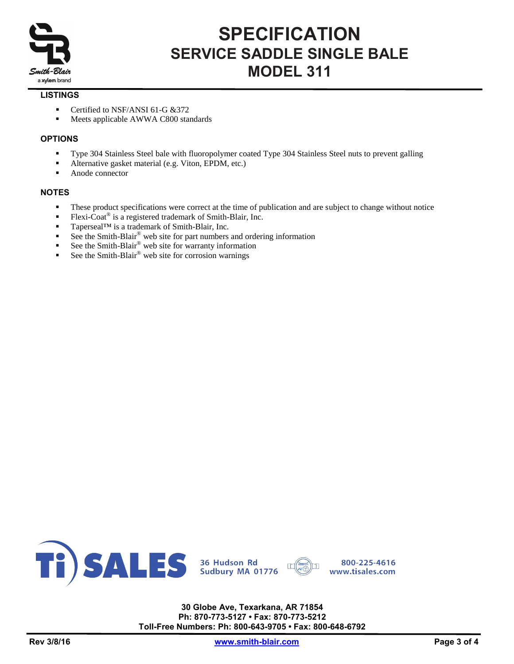

# **SPECIFICATION SERVICE SADDLE SINGLE BALE MODEL 311**

### **LISTINGS**

- Certified to NSF/ANSI 61-G & 372
- **Meets applicable AWWA C800 standards**

### **OPTIONS**

- Type 304 Stainless Steel bale with fluoropolymer coated Type 304 Stainless Steel nuts to prevent galling
- Alternative gasket material (e.g. Viton, EPDM, etc.)
- Anode connector

#### **NOTES**

- These product specifications were correct at the time of publication and are subject to change without notice
- Flexi-Coat<sup>®</sup> is a registered trademark of Smith-Blair, Inc.
- Taperseal™ is a trademark of Smith-Blair, Inc.
- See the Smith-Blair® web site for part numbers and ordering information
- See the Smith-Blair<sup>®</sup> web site for warranty information
- See the Smith-Blair® web site for corrosion warnings



**30 Globe Ave, Texarkana, AR 71854 Ph: 870-773-5127 • Fax: 870-773-5212 Toll-Free Numbers: Ph: 800-643-9705 • Fax: 800-648-6792**